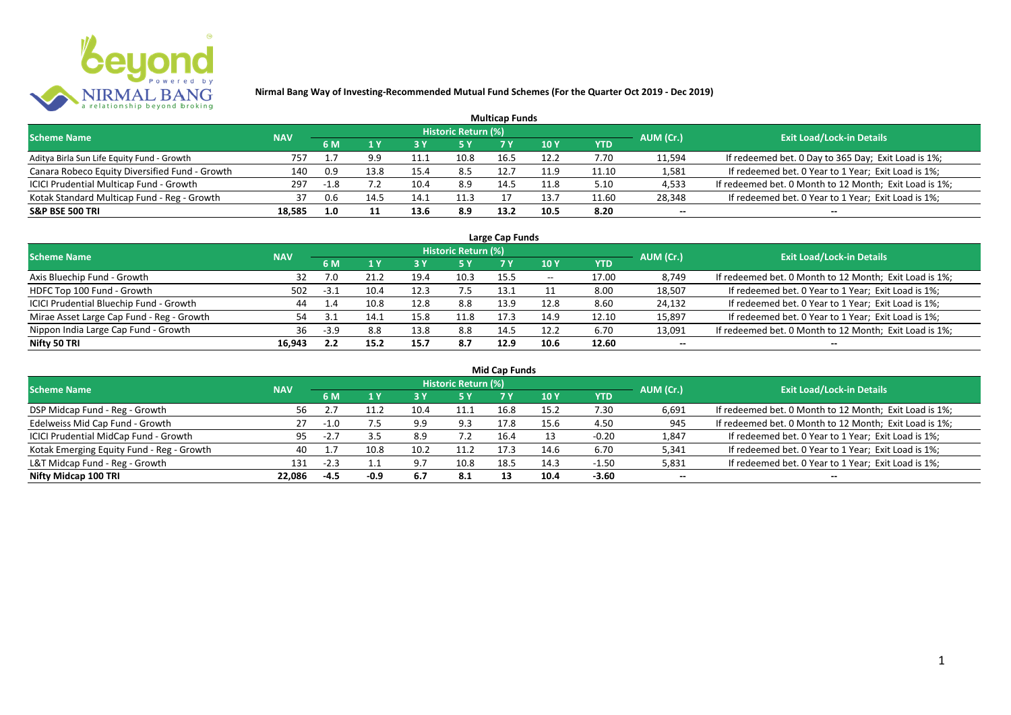

|                                                |            |      |      |      |                            | <b>Multicap Funds</b> |                 |            |           |                                                        |
|------------------------------------------------|------------|------|------|------|----------------------------|-----------------------|-----------------|------------|-----------|--------------------------------------------------------|
| <b>Scheme Name</b>                             | <b>NAV</b> |      |      |      | <b>Historic Return (%)</b> |                       |                 |            | AUM (Cr.) | <b>Exit Load/Lock-in Details</b>                       |
|                                                |            | 6 M  |      | 73 Y |                            |                       | 10 <sub>Y</sub> | <b>YTD</b> |           |                                                        |
| Aditya Birla Sun Life Equity Fund - Growth     | 757        |      | 9.9  | 11.  | 10.8                       | 16.5                  | 12.2            | 7.70       | 11,594    | If redeemed bet. 0 Day to 365 Day; Exit Load is 1%;    |
| Canara Robeco Equity Diversified Fund - Growth | 140        | 0.9  | 13.8 | 15.4 | 8.5                        | 12.7                  | 11.9            | 11.10      | 1,581     | If redeemed bet. 0 Year to 1 Year; Exit Load is 1%;    |
| ICICI Prudential Multicap Fund - Growth        | 297        | -1.8 |      | 10.4 | 8.9                        | 14.5                  | 11.8            | 5.10       | 4,533     | If redeemed bet. 0 Month to 12 Month; Exit Load is 1%; |
| Kotak Standard Multicap Fund - Reg - Growth    | 37         | 0.6  | 14.! | 14.1 | 11.3                       |                       | 13.7            | 11.60      | 28,348    | If redeemed bet. 0 Year to 1 Year; Exit Load is 1%;    |
| <b>S&amp;P BSE 500 TRI</b>                     | 18,585     | 1.0  |      | 13.6 | 8.9                        | 13.2                  | 10.5            | 8.20       | $- -$     | --                                                     |

| Large Cap Funds                           |            |        |      |      |                            |      |       |            |           |                                                        |  |  |  |
|-------------------------------------------|------------|--------|------|------|----------------------------|------|-------|------------|-----------|--------------------------------------------------------|--|--|--|
| <b>Scheme Name</b>                        | <b>NAV</b> |        |      |      | <b>Historic Return (%)</b> |      |       |            | AUM (Cr.) | <b>Exit Load/Lock-in Details</b>                       |  |  |  |
|                                           |            | 6 M    |      |      | 5 Y                        |      | 10 Y  | <b>YTD</b> |           |                                                        |  |  |  |
| Axis Bluechip Fund - Growth               | 32         |        | 21.2 | 19.4 | 10.3                       | 15.5 | $- -$ | 17.00      | 8,749     | If redeemed bet. 0 Month to 12 Month; Exit Load is 1%; |  |  |  |
| HDFC Top 100 Fund - Growth                | 502        | $-3.1$ | 10.4 | 12.3 |                            | 13.1 |       | 8.00       | 18,507    | If redeemed bet. 0 Year to 1 Year; Exit Load is 1%;    |  |  |  |
| ICICI Prudential Bluechip Fund - Growth   | 44         | 1.4    | 10.8 | 12.8 | 8.8                        | 13.9 | 12.8  | 8.60       | 24,132    | If redeemed bet. 0 Year to 1 Year; Exit Load is 1%;    |  |  |  |
| Mirae Asset Large Cap Fund - Reg - Growth | 54         |        | 14.1 | 15.8 | 11.8                       | 17.3 | 14.9  | 12.10      | 15,897    | If redeemed bet. 0 Year to 1 Year; Exit Load is 1%;    |  |  |  |
| Nippon India Large Cap Fund - Growth      | 36         | $-3.9$ | 8.8  | 13.8 | 8.8                        | 14.5 | 12.2  | 6.70       | 13,091    | If redeemed bet. 0 Month to 12 Month; Exit Load is 1%; |  |  |  |
| Nifty 50 TRI                              | 16.943     | L.L    | 15.2 | 15.7 | 8.7                        | 12.9 | 10.6  | 12.60      | $- -$     | $- -$                                                  |  |  |  |

| <b>Mid Cap Funds</b>                      |            |        |        |      |                            |      |      |            |           |                                                        |  |  |  |
|-------------------------------------------|------------|--------|--------|------|----------------------------|------|------|------------|-----------|--------------------------------------------------------|--|--|--|
| <b>Scheme Name</b>                        | <b>NAV</b> |        |        |      | <b>Historic Return (%)</b> |      |      |            | AUM (Cr.) | <b>Exit Load/Lock-in Details</b>                       |  |  |  |
|                                           |            | 6 M    |        |      | 5 Y                        | 7 Y  | 10 Y | <b>YTD</b> |           |                                                        |  |  |  |
| DSP Midcap Fund - Reg - Growth            | 56         |        |        | 10.4 | 11.1                       | 16.8 | 15.2 | 7.30       | 6,691     | If redeemed bet. 0 Month to 12 Month; Exit Load is 1%; |  |  |  |
| Edelweiss Mid Cap Fund - Growth           | 27         | 1.0    |        | 9.9  | 9.3                        | 17.8 | 15.6 | 4.50       | 945       | If redeemed bet. 0 Month to 12 Month; Exit Load is 1%; |  |  |  |
| ICICI Prudential MidCap Fund - Growth     | 95         | -2.,   |        | 8.9  | 7.2                        | 16.4 | 13   | $-0.20$    | 1,847     | If redeemed bet. 0 Year to 1 Year; Exit Load is 1%;    |  |  |  |
| Kotak Emerging Equity Fund - Reg - Growth | 40         |        | 10.8   | 10.2 | 11.2                       | 17.5 | 14.6 | 6.70       | 5,341     | If redeemed bet. 0 Year to 1 Year; Exit Load is 1%;    |  |  |  |
| L&T Midcap Fund - Reg - Growth            | 131        | $-2.3$ |        | 9.7  | 10.8                       | 18.5 | 14.3 | $-1.50$    | 5,831     | If redeemed bet. 0 Year to 1 Year; Exit Load is 1%;    |  |  |  |
| Nifty Midcap 100 TRI                      | 22.086     | $-4.5$ | $-0.9$ | 6.7  | 8.1                        |      | 10.4 | $-3.60$    | $- -$     | $- -$                                                  |  |  |  |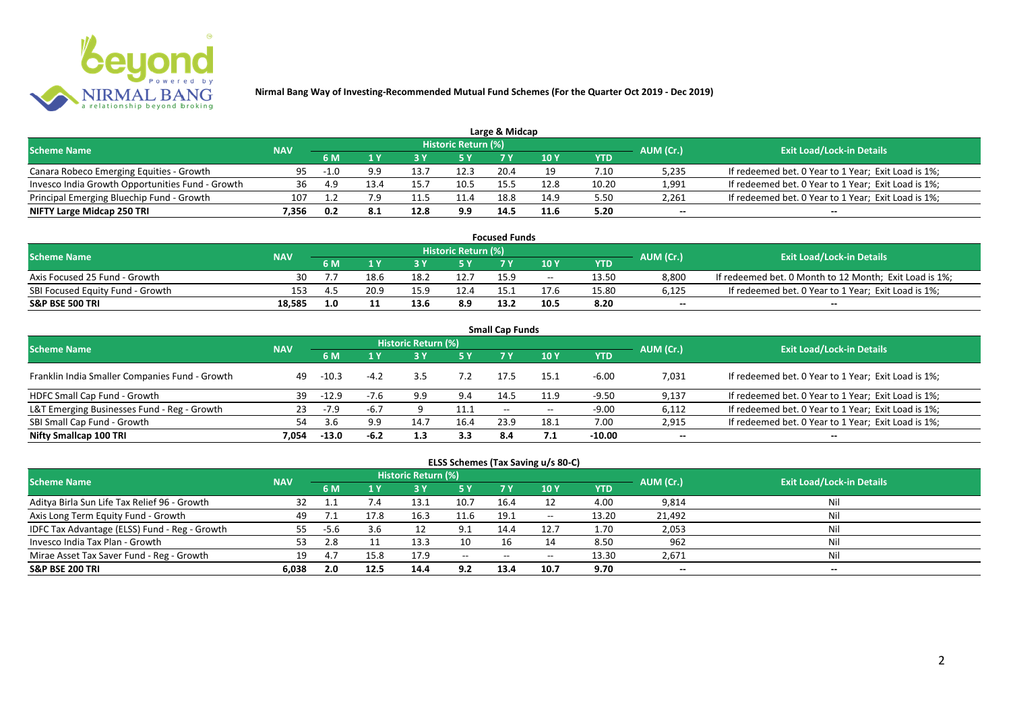

| Large & Midcap                                   |            |        |      |      |                            |      |      |       |           |                                                     |  |  |  |
|--------------------------------------------------|------------|--------|------|------|----------------------------|------|------|-------|-----------|-----------------------------------------------------|--|--|--|
| <b>Scheme Name</b>                               | <b>NAV</b> |        |      |      | <b>Historic Return (%)</b> |      |      |       | AUM (Cr.) | <b>Exit Load/Lock-in Details</b>                    |  |  |  |
|                                                  |            | 6 M    |      |      | 5 Y                        |      | 10Y  | YTD   |           |                                                     |  |  |  |
| Canara Robeco Emerging Equities - Growth         | 95         | $-1.0$ | 9.9  |      | 12.3                       | 20.4 |      | 7.10  | 5,235     | If redeemed bet. 0 Year to 1 Year; Exit Load is 1%; |  |  |  |
| Invesco India Growth Opportunities Fund - Growth | 36         |        |      | 15.7 | 10.5                       | 15.5 | 12.8 | 10.20 | 1,991     | If redeemed bet. 0 Year to 1 Year; Exit Load is 1%; |  |  |  |
| Principal Emerging Bluechip Fund - Growth        | 107        |        | 7.9  |      | 11.4                       | 18.8 | 14.9 | 5.50  | 2,261     | If redeemed bet. 0 Year to 1 Year; Exit Load is 1%; |  |  |  |
| NIFTY Large Midcap 250 TRI                       | 7.356      | 0.2    | -8.1 | 12.8 | 9.9                        | 14.5 | 11.6 | 5.20  | $-$       | $- -$                                               |  |  |  |

| <b>Focused Funds</b>             |            |     |      |      |                     |      |       |       |           |                                                        |  |  |
|----------------------------------|------------|-----|------|------|---------------------|------|-------|-------|-----------|--------------------------------------------------------|--|--|
| <b>Scheme Name</b>               | <b>NAV</b> |     |      |      | Historic Return (%) |      |       |       | AUM (Cr.) | <b>Exit Load/Lock-in Details</b>                       |  |  |
|                                  |            | 6 M |      |      | 5 Y                 |      |       | YTD   |           |                                                        |  |  |
| Axis Focused 25 Fund - Growth    | 30         |     | 18.6 | 18.2 | 12.7                | 15.9 | $- -$ | 13.50 | 8,800     | If redeemed bet. 0 Month to 12 Month; Exit Load is 1%; |  |  |
| SBI Focused Equity Fund - Growth | 153        | 4   | 20.9 | 15.9 | 12.4                | 15.  | 17.6  | 15.80 | 6,125     | If redeemed bet. 0 Year to 1 Year; Exit Load is 1%;    |  |  |
| <b>S&amp;P BSE 500 TRI</b>       | 18.585     | 1.0 |      | 13.6 | 8.9                 | 13.2 | 10.5  | 8.20  | $- -$     | $- -$                                                  |  |  |

| <b>Small Cap Funds</b>                         |            |         |        |                     |           |                          |       |            |           |                                                     |  |  |  |
|------------------------------------------------|------------|---------|--------|---------------------|-----------|--------------------------|-------|------------|-----------|-----------------------------------------------------|--|--|--|
| <b>Scheme Name</b>                             | <b>NAV</b> |         |        | Historic Return (%) |           |                          |       |            | AUM (Cr.) | <b>Exit Load/Lock-in Details</b>                    |  |  |  |
|                                                |            | 6 M     | 1 Y    |                     | <b>5Y</b> | 7 V                      | 10Y   | <b>YTD</b> |           |                                                     |  |  |  |
| Franklin India Smaller Companies Fund - Growth | 49         | $-10.3$ | $-4.2$ | 3.5                 | 7.2       | 17.5                     | 15.1  | $-6.00$    | 7,031     | If redeemed bet. 0 Year to 1 Year; Exit Load is 1%; |  |  |  |
| HDFC Small Cap Fund - Growth                   | 39         | $-12.9$ |        | 9.9                 | 9.4       | 14.5                     | 11.9  | -9.50      | 9,137     | If redeemed bet. 0 Year to 1 Year; Exit Load is 1%; |  |  |  |
| L&T Emerging Businesses Fund - Reg - Growth    | 23         | $-7.9$  | -6.7   |                     | 11.1      | $\overline{\phantom{a}}$ | $- -$ | $-9.00$    | 6,112     | If redeemed bet. 0 Year to 1 Year; Exit Load is 1%; |  |  |  |
| SBI Small Cap Fund - Growth                    | 54         | 3.6     | 9.9    | 14.7                | 16.4      | 23.9                     | 18.1  | 7.00       | 2,915     | If redeemed bet. 0 Year to 1 Year; Exit Load is 1%; |  |  |  |
| Nifty Smallcap 100 TRI                         | 7.054      | $-13.0$ | $-6.2$ | 1.3                 | 3.3       | 8.4                      |       | $-10.00$   | $- -$     | --                                                  |  |  |  |

## **ELSS Schemes (Tax Saving u/s 80-C)**

| <b>Scheme Name</b>                            | <b>NAV</b> |      |      | <b>Historic Return (%)</b> |              |      |       | AUM (Cr.) | <b>Exit Load/Lock-in Details</b> |       |
|-----------------------------------------------|------------|------|------|----------------------------|--------------|------|-------|-----------|----------------------------------|-------|
|                                               |            | 6 M  |      |                            | <b>5Y</b>    | 7 V  | 10Y   | YTD       |                                  |       |
| Aditya Birla Sun Life Tax Relief 96 - Growth  |            |      | 7.4  | 13.1                       | 10.7         | 16.4 |       | 4.00      | 9,814                            | Nil   |
| Axis Long Term Equity Fund - Growth           | 49         |      |      | 16.3                       | 11.6         | 19.1 | $- -$ | 13.20     | 21,492                           | Nil   |
| IDFC Tax Advantage (ELSS) Fund - Reg - Growth | 55         | -5.6 | 3.6  |                            | 9.1          | 14.4 | 12.7  | 1.70      | 2,053                            | Nil   |
| Invesco India Tax Plan - Growth               | 53         |      |      | 13.3                       | 10           |      |       | 8.50      | 962                              | Nil   |
| Mirae Asset Tax Saver Fund - Reg - Growth     | 19         | 4.,  | 15.8 | 17.9                       | $-$ – $\sim$ | $-$  | $- -$ | 13.30     | 2,671                            | Nil   |
| <b>S&amp;P BSE 200 TRI</b>                    | 6,038      | 2.0  | 12.5 | 14.4                       | 9.2          | 13.4 | 10.7  | 9.70      | $- -$                            | $- -$ |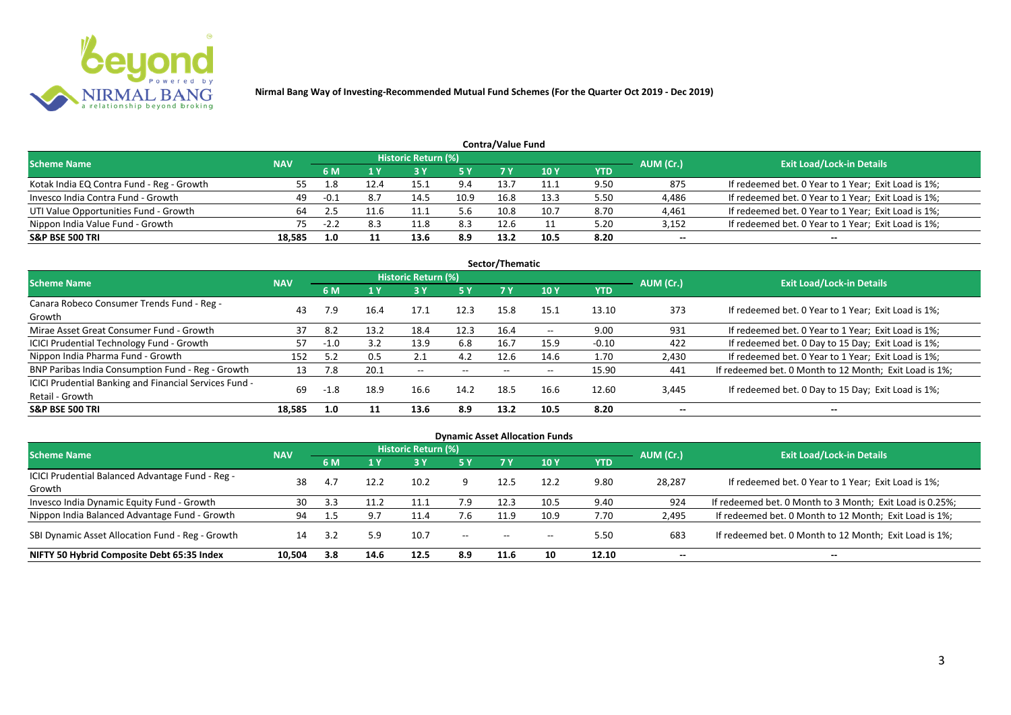

| <b>Contra/Value Fund</b>                  |            |      |     |                     |      |      |      |            |                          |                                                     |  |  |  |  |
|-------------------------------------------|------------|------|-----|---------------------|------|------|------|------------|--------------------------|-----------------------------------------------------|--|--|--|--|
| <b>Scheme Name</b>                        | <b>NAV</b> |      |     | Historic Return (%) |      |      |      |            | AUM (Cr.)                | <b>Exit Load/Lock-in Details</b>                    |  |  |  |  |
|                                           |            | 6 N  |     |                     | 5 Y  |      | 10 Y | <b>YTD</b> |                          |                                                     |  |  |  |  |
| Kotak India EQ Contra Fund - Reg - Growth | 55.        |      |     | 15.1                | 9.4  | 13.7 | 11.1 | 9.50       | 875                      | If redeemed bet. 0 Year to 1 Year; Exit Load is 1%; |  |  |  |  |
| Invesco India Contra Fund - Growth        | 49         | -0.1 | 8.7 | 14.5                | 10.9 | 16.8 | 13.3 | 5.50       | 4,486                    | If redeemed bet. 0 Year to 1 Year; Exit Load is 1%; |  |  |  |  |
| UTI Value Opportunities Fund - Growth     |            |      |     | 11.1                | 5.6  | 10.8 | 10.7 | 8.70       | 4,461                    | If redeemed bet. 0 Year to 1 Year; Exit Load is 1%; |  |  |  |  |
| Nippon India Value Fund - Growth          | 75         | -2.2 | 8.3 | 11.8                | 8.3  | 12.6 |      | 5.20       | 3,152                    | If redeemed bet. 0 Year to 1 Year; Exit Load is 1%; |  |  |  |  |
| <b>S&amp;P BSE 500 TRI</b>                | 18,585     | 1.0  |     | 13.6                | 8.9  | 13.2 | 10.5 | 8.20       | $\overline{\phantom{a}}$ | $-$                                                 |  |  |  |  |

| Sector/Thematic                                                           |            |        |      |                     |            |                          |                          |            |           |                                                        |  |  |  |  |
|---------------------------------------------------------------------------|------------|--------|------|---------------------|------------|--------------------------|--------------------------|------------|-----------|--------------------------------------------------------|--|--|--|--|
| <b>Scheme Name</b>                                                        | <b>NAV</b> |        |      | Historic Return (%) |            |                          |                          |            | AUM (Cr.) | <b>Exit Load/Lock-in Details</b>                       |  |  |  |  |
|                                                                           |            | 6 M    | 1 Y  | <b>3Y</b>           | <b>5 Y</b> | 7 Y                      | <b>10Y</b>               | <b>YTD</b> |           |                                                        |  |  |  |  |
| Canara Robeco Consumer Trends Fund - Reg -<br>Growth                      | 43         | 7.9    | 16.4 | 17.1                | 12.3       | 15.8                     | 15.1                     | 13.10      | 373       | If redeemed bet. 0 Year to 1 Year; Exit Load is 1%;    |  |  |  |  |
| Mirae Asset Great Consumer Fund - Growth                                  | 37         | 8.2    | 13.2 | 18.4                | 12.3       | 16.4                     | $- -$                    | 9.00       | 931       | If redeemed bet. 0 Year to 1 Year; Exit Load is 1%;    |  |  |  |  |
| <b>ICICI Prudential Technology Fund - Growth</b>                          | 57         | $-1.0$ | 3.2  | 13.9                | 6.8        | 16.7                     | 15.9                     | $-0.10$    | 422       | If redeemed bet. 0 Day to 15 Day; Exit Load is 1%;     |  |  |  |  |
| Nippon India Pharma Fund - Growth                                         | 152        | 5.2    | 0.5  | 2.1                 | 4.2        | 12.6                     | 14.6                     | 1.70       | 2,430     | If redeemed bet. 0 Year to 1 Year; Exit Load is 1%;    |  |  |  |  |
| BNP Paribas India Consumption Fund - Reg - Growth                         | 13         | 7.8    | 20.1 | $- -$               | $- -$      | $\overline{\phantom{a}}$ | $\overline{\phantom{a}}$ | 15.90      | 441       | If redeemed bet. 0 Month to 12 Month; Exit Load is 1%; |  |  |  |  |
| ICICI Prudential Banking and Financial Services Fund -<br>Retail - Growth | 69         | -1.8   | 18.9 | 16.6                | 14.2       | 18.5                     | 16.6                     | 12.60      | 3,445     | If redeemed bet. 0 Day to 15 Day; Exit Load is 1%;     |  |  |  |  |
| <b>S&amp;P BSE 500 TRI</b>                                                | 18.585     | 1.0    | 11   | 13.6                | 8.9        | 13.2                     | 10.5                     | 8.20       | --        | $\overline{\phantom{a}}$                               |  |  |  |  |

| <b>Dynamic Asset Allocation Funds</b>                      |            |     |      |                            |       |                   |                          |            |           |                                                          |  |  |  |
|------------------------------------------------------------|------------|-----|------|----------------------------|-------|-------------------|--------------------------|------------|-----------|----------------------------------------------------------|--|--|--|
| <b>Scheme Name</b>                                         | <b>NAV</b> |     |      | <b>Historic Return (%)</b> |       |                   |                          |            | AUM (Cr.) | <b>Exit Load/Lock-in Details</b>                         |  |  |  |
|                                                            |            | 6 M |      | <b>3 Y</b>                 | 5 Y   | 7 Y               | <b>10Y</b>               | <b>YTD</b> |           |                                                          |  |  |  |
| ICICI Prudential Balanced Advantage Fund - Reg -<br>Growth | 38         | 4.  | 12.2 | 10.2                       |       | 12.5              | 12.2                     | 9.80       | 28,287    | If redeemed bet. 0 Year to 1 Year; Exit Load is 1%;      |  |  |  |
| Invesco India Dynamic Equity Fund - Growth                 | 30         | 3.3 |      | 11.1                       | 7.9   | 12.3              | 10.5                     | 9.40       | 924       | If redeemed bet. 0 Month to 3 Month; Exit Load is 0.25%; |  |  |  |
| Nippon India Balanced Advantage Fund - Growth              | 94         |     | 9.7  | 11.4                       | 7.6   | 11.9              | 10.9                     | 7.70       | 2,495     | If redeemed bet. 0 Month to 12 Month; Exit Load is 1%;   |  |  |  |
| SBI Dynamic Asset Allocation Fund - Reg - Growth           | 14         |     | 5.9  | 10.7                       | $- -$ | $\hspace{0.05cm}$ | $\hspace{0.05cm} \cdots$ | 5.50       | 683       | If redeemed bet. 0 Month to 12 Month; Exit Load is 1%;   |  |  |  |
| NIFTY 50 Hybrid Composite Debt 65:35 Index                 | 10,504     | 3.8 | 14.6 | 12.5                       | 8.9   | 11.6              | 10                       | 12.10      | $- -$     | $- -$                                                    |  |  |  |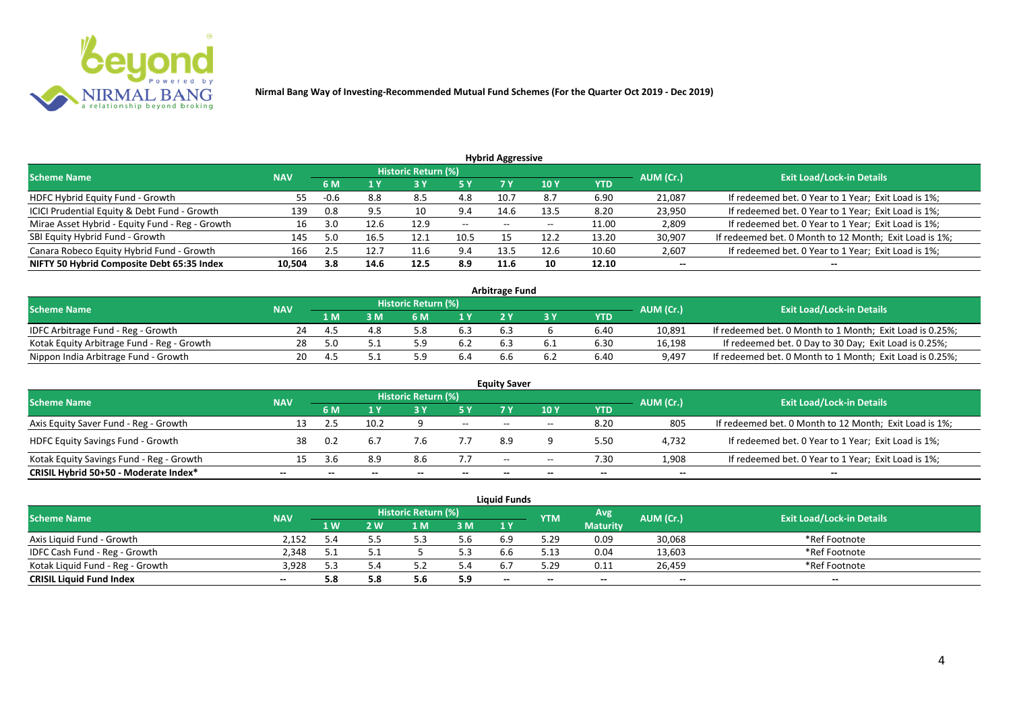

| <b>Hybrid Aggressive</b>                        |            |        |      |                            |               |       |       |            |           |                                                        |  |  |  |  |
|-------------------------------------------------|------------|--------|------|----------------------------|---------------|-------|-------|------------|-----------|--------------------------------------------------------|--|--|--|--|
| <b>Scheme Name</b>                              | <b>NAV</b> |        |      | <b>Historic Return (%)</b> |               |       |       |            | AUM (Cr.) | <b>Exit Load/Lock-in Details</b>                       |  |  |  |  |
|                                                 |            | 6 M    | 1 Y  | 13 Y                       | <b>5 Y</b>    | 7 Y   | 10 Y  | <b>YTD</b> |           |                                                        |  |  |  |  |
| HDFC Hybrid Equity Fund - Growth                | 55         | $-0.6$ | 8.8  | 8.5                        | 4.8           | 10.7  | 8.7   | 6.90       | 21,087    | If redeemed bet. 0 Year to 1 Year; Exit Load is 1%;    |  |  |  |  |
| ICICI Prudential Equity & Debt Fund - Growth    | 139        | 0.8    | 9.5  | 10                         | 9.4           | 14.6  | 13.5  | 8.20       | 23,950    | If redeemed bet. 0 Year to 1 Year; Exit Load is 1%;    |  |  |  |  |
| Mirae Asset Hybrid - Equity Fund - Reg - Growth | 16         | 3.0    | 12.6 | 12.9                       | $\sim$ $\sim$ | $- -$ | $- -$ | 11.00      | 2,809     | If redeemed bet. 0 Year to 1 Year; Exit Load is 1%;    |  |  |  |  |
| SBI Equity Hybrid Fund - Growth                 | 145        | 5.0    | 16.5 | 12.1                       | 10.5          |       | 12.2  | 13.20      | 30,907    | If redeemed bet. 0 Month to 12 Month; Exit Load is 1%; |  |  |  |  |
| Canara Robeco Equity Hybrid Fund - Growth       | 166        | 2.5    | 12.7 | 11.6                       | 9.4           | 13.5  | 12.6  | 10.60      | 2,607     | If redeemed bet. 0 Year to 1 Year; Exit Load is 1%;    |  |  |  |  |
| NIFTY 50 Hybrid Composite Debt 65:35 Index      | 10,504     | 3.8    | 14.6 | 12.5                       | 8.9           | 11.6  | 10    | 12.10      | $- -$     | $- -$                                                  |  |  |  |  |

| <b>Arbitrage Fund</b>                      |            |     |     |                            |     |     |  |            |           |                                                          |  |  |  |
|--------------------------------------------|------------|-----|-----|----------------------------|-----|-----|--|------------|-----------|----------------------------------------------------------|--|--|--|
| <b>Scheme Name</b>                         | <b>NAV</b> |     |     | <b>Historic Return (%)</b> |     |     |  |            | AUM (Cr.) | <b>Exit Load/Lock-in Details</b>                         |  |  |  |
|                                            |            | 1 M | M   | ና M                        | 1 V |     |  | <b>YTD</b> |           |                                                          |  |  |  |
| IDFC Arbitrage Fund - Reg - Growth         |            |     | 4.8 |                            | 6.3 | 6.3 |  | 6.40       | 10,891    | If redeemed bet. 0 Month to 1 Month; Exit Load is 0.25%; |  |  |  |
| Kotak Equity Arbitrage Fund - Reg - Growth | 28         |     |     | ς ο                        |     |     |  | 6.30       | 16,198    | If redeemed bet. 0 Day to 30 Day; Exit Load is 0.25%;    |  |  |  |
| Nippon India Arbitrage Fund - Growth       | 20.        |     |     |                            |     |     |  | 6.40       | 9,497     | If redeemed bet. 0 Month to 1 Month; Exit Load is 0.25%; |  |  |  |

|                                          |            |     |      |                     |       | <b>Equity Saver</b>      |       |            |           |                                                        |  |
|------------------------------------------|------------|-----|------|---------------------|-------|--------------------------|-------|------------|-----------|--------------------------------------------------------|--|
| <b>Scheme Name</b>                       | <b>NAV</b> |     |      | Historic Return (%) |       |                          |       |            |           | <b>Exit Load/Lock-in Details</b>                       |  |
|                                          |            | 6 M |      |                     |       |                          | 10Y   | <b>YTD</b> | AUM (Cr.) |                                                        |  |
| Axis Equity Saver Fund - Reg - Growth    |            |     | 10.2 |                     | $- -$ | $- -$                    | $- -$ | 8.20       | 805       | If redeemed bet. 0 Month to 12 Month; Exit Load is 1%; |  |
| <b>HDFC Equity Savings Fund - Growth</b> | 38         | 0.2 |      | 7.6                 |       | 8.9                      |       | 5.50       | 4,732     | If redeemed bet. 0 Year to 1 Year; Exit Load is 1%;    |  |
| Kotak Equity Savings Fund - Reg - Growth |            |     | 8.9  | 8.6                 | 7.7   | $\overline{\phantom{a}}$ | $- -$ | 7.30       | 1,908     | If redeemed bet. 0 Year to 1 Year; Exit Load is 1%;    |  |
| CRISIL Hybrid 50+50 - Moderate Index*    | $- -$      |     |      | $- -$               | --    | --                       | $- -$ |            | $- -$     | $\overline{\phantom{a}}$                               |  |

| <b>Liauid Funds</b>              |            |                |     |                     |     |     |            |                 |           |                                  |  |  |  |
|----------------------------------|------------|----------------|-----|---------------------|-----|-----|------------|-----------------|-----------|----------------------------------|--|--|--|
| <b>Scheme Name</b>               | <b>NAV</b> |                |     | Historic Return (%) |     |     | <b>YTM</b> | Avg.            | AUM (Cr.) | <b>Exit Load/Lock-in Details</b> |  |  |  |
|                                  |            | 1 <sub>W</sub> | 2 W | 1 M                 | 3M  | 1Y  |            | <b>Maturity</b> |           |                                  |  |  |  |
| Axis Liquid Fund - Growth        | 2.152      |                |     |                     | 5.6 | 6.9 | 5.29       | 0.09            | 30,068    | *Ref Footnote                    |  |  |  |
| IDFC Cash Fund - Reg - Growth    | 2.348      |                |     |                     | 3.3 | 6.6 | 5.13       | 0.04            | 13,603    | *Ref Footnote                    |  |  |  |
| Kotak Liquid Fund - Reg - Growth | 3,928      |                | 5.4 |                     | .4د |     | 5.29       | 0.11            | 26,459    | *Ref Footnote                    |  |  |  |
| <b>CRISIL Liquid Fund Index</b>  | --         | 5.8            | 5.8 | 5.6                 | 5.9 | $-$ | --         | $- -$           | $-$       | $- -$                            |  |  |  |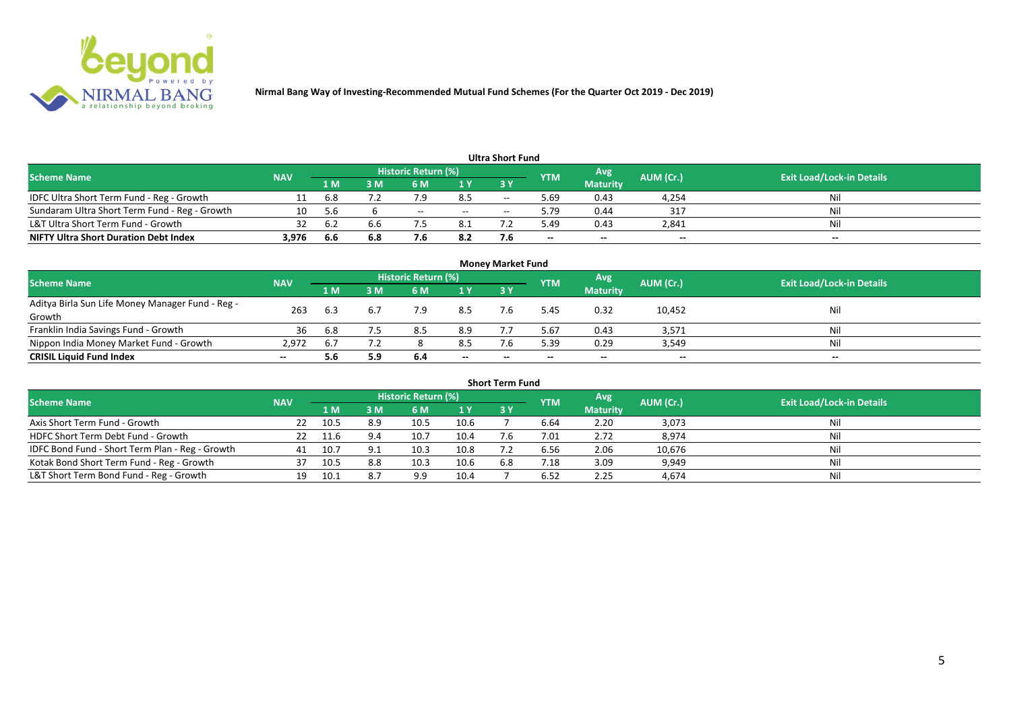

| <b>Ultra Short Fund</b>                       |            |       |     |                     |       |       |            |                 |           |                                  |  |  |  |  |
|-----------------------------------------------|------------|-------|-----|---------------------|-------|-------|------------|-----------------|-----------|----------------------------------|--|--|--|--|
| <b>Scheme Name</b>                            | <b>NAV</b> |       |     | Historic Return (%) |       |       | <b>YTM</b> | Avg             | AUM (Cr.) | <b>Exit Load/Lock-in Details</b> |  |  |  |  |
|                                               |            | 1 M   | ۱M  | 6 M                 | 1 Y   | 73 Y  |            | <b>Maturity</b> |           |                                  |  |  |  |  |
| IDFC Ultra Short Term Fund - Reg - Growth     |            | 6.8   |     |                     | 8.5   | $- -$ | 69.د       | 0.43            | 4,254     | Nil                              |  |  |  |  |
| Sundaram Ultra Short Term Fund - Reg - Growth | 10         | 5.6   |     | $- -$               | $- -$ | $-$   | 9.79       | 0.44            | -317      | Nil                              |  |  |  |  |
| L&T Ultra Short Term Fund - Growth            | 32         | - 6.2 | 6.6 |                     | 8.1   |       | 49.د       | 0.43            | 2,841     | Nil                              |  |  |  |  |
| <b>NIFTY Ultra Short Duration Debt Index</b>  | 3,976      | 6.6   | 6.8 |                     | 8.2   |       | $- -$      | $- -$           | $- -$     | $- -$                            |  |  |  |  |

| <b>Money Market Fund</b>                                   |            |                |     |                            |       |           |            |                 |           |                                  |  |  |  |
|------------------------------------------------------------|------------|----------------|-----|----------------------------|-------|-----------|------------|-----------------|-----------|----------------------------------|--|--|--|
| <b>Scheme Name</b>                                         | <b>NAV</b> |                |     | <b>Historic Return (%)</b> |       |           | <b>YTM</b> | Avg'            | AUM (Cr.) | <b>Exit Load/Lock-in Details</b> |  |  |  |
|                                                            |            | 1 <sub>M</sub> | MК  | 6 M                        | 1Y    | <b>3Y</b> |            | <b>Maturity</b> |           |                                  |  |  |  |
| Aditya Birla Sun Life Money Manager Fund - Reg -<br>Growth | 263        | 6.3            | 6.7 | 7.9                        | 8.5   |           | 5.45       | 0.32            | 10,452    | Nil                              |  |  |  |
| Franklin India Savings Fund - Growth                       | 36         | 6.8            |     | 8.5                        | 8.9   |           | 5.67       | 0.43            | 3,571     | Nil                              |  |  |  |
| Nippon India Money Market Fund - Growth                    | 2,972      |                |     |                            | 8.5   |           | 5.39       | 0.29            | 3,549     | Nil                              |  |  |  |
| <b>CRISIL Liquid Fund Index</b>                            | $- -$      | 5.6            | 5.9 | 6.4                        | $- -$ | $- -$     | $- -$      | $- -$           | $- -$     | $- -$                            |  |  |  |

| <b>Short Term Fund</b>                          |            |      |     |                     |      |           |                |                 |           |                                  |  |  |  |
|-------------------------------------------------|------------|------|-----|---------------------|------|-----------|----------------|-----------------|-----------|----------------------------------|--|--|--|
| <b>Scheme Name</b>                              | <b>NAV</b> |      |     | Historic Return (%) |      |           | <b>YTM</b>     | Avg             | AUM (Cr.) | <b>Exit Load/Lock-in Details</b> |  |  |  |
|                                                 |            | 1 M  | 3 M | 6 M                 | 1Y   | <b>3Y</b> |                | <b>Maturity</b> |           |                                  |  |  |  |
| Axis Short Term Fund - Growth                   | 22.        | 10.5 | 8.9 | 10.5                | 10.6 |           | 6.64           | 2.20            | 3,073     |                                  |  |  |  |
| HDFC Short Term Debt Fund - Growth              | 22         | 11.6 | 9.4 | 10.7                | 10.4 |           | 7.01           | 2.72            | 8,974     | Nil                              |  |  |  |
| IDFC Bond Fund - Short Term Plan - Reg - Growth | 41         | 10.7 | 9.1 | 10.3                | 10.8 |           | 6.56           | 2.06            | 10,676    | Nil                              |  |  |  |
| Kotak Bond Short Term Fund - Reg - Growth       | 37         | 10.5 | 8.8 | 10.3                | 10.6 | 6.8       | $^{\prime}.18$ | 3.09            | 9,949     | Ni                               |  |  |  |
| L&T Short Term Bond Fund - Reg - Growth         | 19         | 10.1 | 8.7 | 9.9                 | 10.4 |           | 6.52           | 2.25            | 4,674     | Nil                              |  |  |  |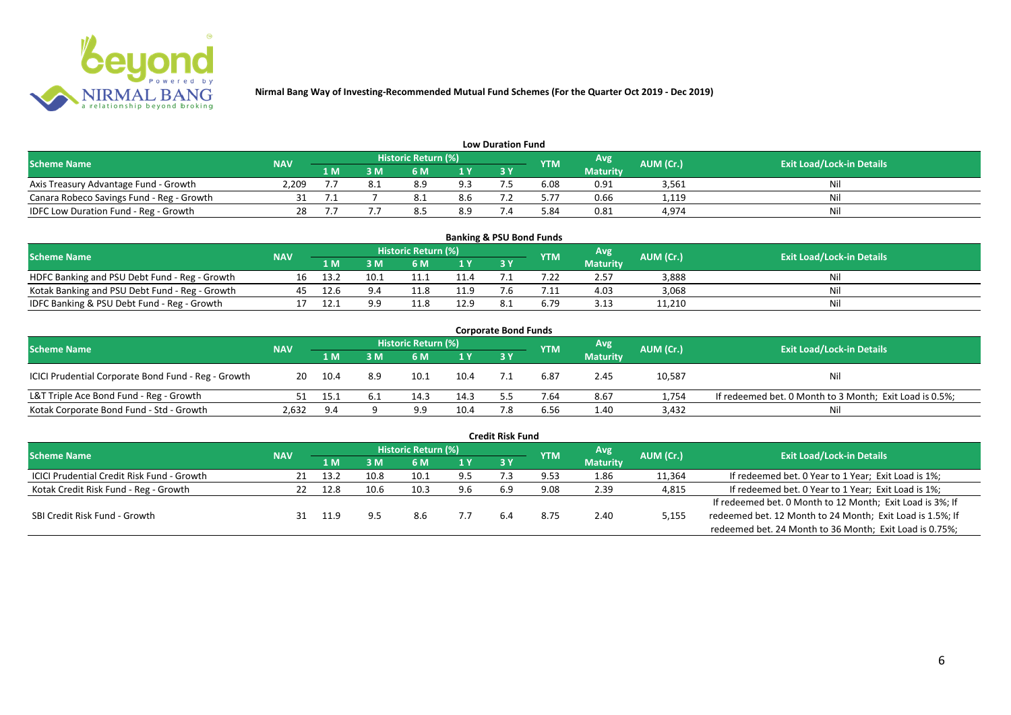

| <b>Low Duration Fund</b>                  |            |     |     |                            |                |    |            |                 |           |                                  |  |  |  |  |
|-------------------------------------------|------------|-----|-----|----------------------------|----------------|----|------------|-----------------|-----------|----------------------------------|--|--|--|--|
| <b>Scheme Name</b>                        | <b>NAV</b> |     |     | <b>Historic Return (%)</b> |                |    | <b>YTM</b> | Avg             | AUM (Cr.) | <b>Exit Load/Lock-in Details</b> |  |  |  |  |
|                                           |            | 1 M | 3 M |                            | 1 <sub>Y</sub> | 3Y |            | <b>Maturity</b> |           |                                  |  |  |  |  |
| Axis Treasury Advantage Fund - Growth     | 2.209      |     |     | 8.9                        | 9.3            |    | 6.08       | 0.91            | 3,561     | Ni                               |  |  |  |  |
| Canara Robeco Savings Fund - Reg - Growth |            |     |     | 0.1                        | 8.6            |    | 5.77       | 0.66            | 1,119     | Nil                              |  |  |  |  |
| IDFC Low Duration Fund - Reg - Growth     |            |     |     |                            | 8.9            |    | 5.84       | 0.81            | 4,974     | Nil                              |  |  |  |  |

| <b>Banking &amp; PSU Bond Funds</b>            |            |      |      |                            |      |           |            |                 |           |                                  |  |  |  |
|------------------------------------------------|------------|------|------|----------------------------|------|-----------|------------|-----------------|-----------|----------------------------------|--|--|--|
| <b>Scheme Name</b>                             | <b>NAV</b> |      |      | <b>Historic Return (%)</b> |      |           | <b>YTM</b> | Avg             | AUM (Cr.) | <b>Exit Load/Lock-in Details</b> |  |  |  |
|                                                |            | 1 M  |      | 6 M                        |      | <b>3Y</b> |            | <b>Maturity</b> |           |                                  |  |  |  |
| HDFC Banking and PSU Debt Fund - Reg - Growth  | 16         | 13.2 | 10.1 |                            | 11.4 |           |            | 2.57            | 3,888     | Nil                              |  |  |  |
| Kotak Banking and PSU Debt Fund - Reg - Growth | 45         | 12.6 | 9.4  |                            | 11.9 |           |            | 4.03            | 3,068     | Nil                              |  |  |  |
| IDFC Banking & PSU Debt Fund - Reg - Growth    |            |      | a a  |                            | 12.9 |           | 6.79       | 3.13            | 11,210    | Nil                              |  |  |  |

| <b>Corporate Bond Funds</b>                         |            |      |     |                            |                |     |            |                 |           |                                                         |  |  |  |
|-----------------------------------------------------|------------|------|-----|----------------------------|----------------|-----|------------|-----------------|-----------|---------------------------------------------------------|--|--|--|
| <b>Scheme Name</b>                                  | <b>NAV</b> |      |     | <b>Historic Return (%)</b> |                |     | <b>YTM</b> | Avg             | AUM (Cr.) | <b>Exit Load/Lock-in Details</b>                        |  |  |  |
|                                                     |            | 1 M  | : M | 6 M                        | 1 <sup>Y</sup> | 3 Y |            | <b>Maturity</b> |           |                                                         |  |  |  |
| ICICI Prudential Corporate Bond Fund - Reg - Growth | 20         | 10.4 | 8.9 | 10.1                       | 10.4           |     | 6.87       | 2.45            | 10,587    | <b>Nil</b>                                              |  |  |  |
| L&T Triple Ace Bond Fund - Reg - Growth             |            | 15.1 | 6.1 | 14.3                       | 14.3           |     | 7.64       | 8.67            | 1,754     | If redeemed bet. 0 Month to 3 Month; Exit Load is 0.5%; |  |  |  |
| Kotak Corporate Bond Fund - Std - Growth            | 2,632      | 9.4  |     |                            | 10.4           |     | 6.56       | 1.40            | 3,432     | Nil                                                     |  |  |  |

|                                                   |            |      |      |                            |      | <b>Credit Risk Fund</b> |            |                 |           |                                                           |
|---------------------------------------------------|------------|------|------|----------------------------|------|-------------------------|------------|-----------------|-----------|-----------------------------------------------------------|
| <b>Scheme Name</b>                                | <b>NAV</b> |      |      | <b>Historic Return (%)</b> |      |                         | <b>YTM</b> | Avg             | AUM (Cr.) | <b>Exit Load/Lock-in Details</b>                          |
|                                                   |            | 1 M  | 3 M  | 6 M                        | 71 Y | 3 Y                     |            | <b>Maturity</b> |           |                                                           |
| <b>ICICI Prudential Credit Risk Fund - Growth</b> | 21         | 13.2 | 10.8 | 10.1                       | 9.5  |                         | 9.53       | 1.86            | 11,364    | If redeemed bet. 0 Year to 1 Year; Exit Load is 1%;       |
| Kotak Credit Risk Fund - Reg - Growth             |            | 12.8 | 10.6 | 10.3                       | 9.6  | 6.9                     | 9.08       | 2.39            | 4,815     | If redeemed bet. 0 Year to 1 Year; Exit Load is 1%;       |
|                                                   |            |      |      |                            |      |                         |            |                 |           | If redeemed bet. 0 Month to 12 Month; Exit Load is 3%; If |
| SBI Credit Risk Fund - Growth                     |            |      |      | 8.6                        | 7.7  | 6.4                     | 8.75       | 2.40            | 5,155     | redeemed bet. 12 Month to 24 Month; Exit Load is 1.5%; If |
|                                                   |            |      |      |                            |      |                         |            |                 |           | redeemed bet. 24 Month to 36 Month; Exit Load is 0.75%;   |